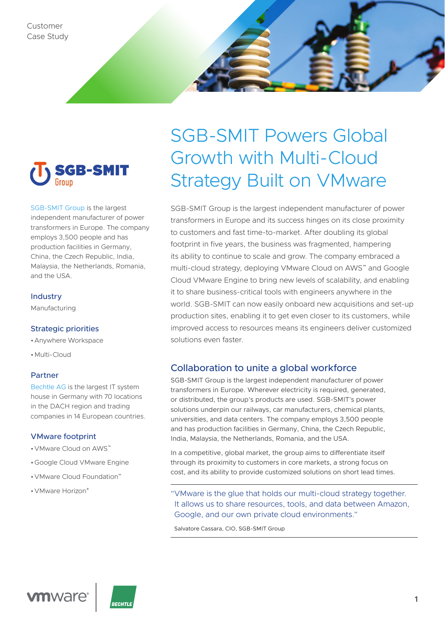



[SGB-SMIT Group](http://www.sgb-smit.com/) is the largest independent manufacturer of power transformers in Europe. The company employs 3,500 people and has production facilities in Germany, China, the Czech Republic, India, Malaysia, the Netherlands, Romania, and the USA.

### Industry

Manufacturing

### Strategic priorities

- •Anywhere Workspace
- •Multi-Cloud

### Partner

[Bechtle AG](https://www.bechtle.com/) is the largest IT system house in Germany with 70 locations in the DACH region and trading companies in 14 European countries.

### VMware footprint

- •VMware Cloud on AWS™
- •Google Cloud VMware Engine
- •VMware Cloud Foundation™
- VMware Horizon®

# SGB-SMIT Powers Global Growth with Multi-Cloud Strategy Built on VMware

SGB-SMIT Group is the largest independent manufacturer of power transformers in Europe and its success hinges on its close proximity to customers and fast time-to-market. After doubling its global footprint in five years, the business was fragmented, hampering its ability to continue to scale and grow. The company embraced a multi-cloud strategy, deploying VMware Cloud on AWS™ and Google Cloud VMware Engine to bring new levels of scalability, and enabling it to share business-critical tools with engineers anywhere in the world. SGB-SMIT can now easily onboard new acquisitions and set-up production sites, enabling it to get even closer to its customers, while improved access to resources means its engineers deliver customized solutions even faster.

## Collaboration to unite a global workforce

SGB-SMIT Group is the largest independent manufacturer of power transformers in Europe. Wherever electricity is required, generated, or distributed, the group's products are used. SGB-SMIT's power solutions underpin our railways, car manufacturers, chemical plants, universities, and data centers. The company employs 3,500 people and has production facilities in Germany, China, the Czech Republic, India, Malaysia, the Netherlands, Romania, and the USA.

In a competitive, global market, the group aims to differentiate itself through its proximity to customers in core markets, a strong focus on cost, and its ability to provide customized solutions on short lead times.

"VMware is the glue that holds our multi-cloud strategy together. It allows us to share resources, tools, and data between Amazon, Google, and our own private cloud environments."

Salvatore Cassara, CIO, SGB-SMIT Group



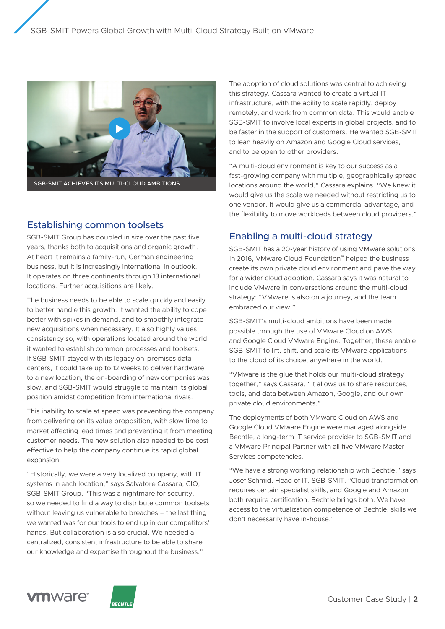

## Establishing common toolsets

SGB-SMIT Group has doubled in size over the past five years, thanks both to acquisitions and organic growth. At heart it remains a family-run, German engineering business, but it is increasingly international in outlook. It operates on three continents through 13 international locations. Further acquisitions are likely.

The business needs to be able to scale quickly and easily to better handle this growth. It wanted the ability to cope better with spikes in demand, and to smoothly integrate new acquisitions when necessary. It also highly values consistency so, with operations located around the world, it wanted to establish common processes and toolsets. If SGB-SMIT stayed with its legacy on-premises data centers, it could take up to 12 weeks to deliver hardware to a new location, the on-boarding of new companies was slow, and SGB-SMIT would struggle to maintain its global position amidst competition from international rivals.

This inability to scale at speed was preventing the company from delivering on its value proposition, with slow time to market affecting lead times and preventing it from meeting customer needs. The new solution also needed to be cost effective to help the company continue its rapid global expansion.

"Historically, we were a very localized company, with IT systems in each location," says Salvatore Cassara, CIO, SGB-SMIT Group. "This was a nightmare for security, so we needed to find a way to distribute common toolsets without leaving us vulnerable to breaches – the last thing we wanted was for our tools to end up in our competitors' hands. But collaboration is also crucial. We needed a centralized, consistent infrastructure to be able to share our knowledge and expertise throughout the business."

The adoption of cloud solutions was central to achieving this strategy. Cassara wanted to create a virtual IT infrastructure, with the ability to scale rapidly, deploy remotely, and work from common data. This would enable SGB-SMIT to involve local experts in global projects, and to be faster in the support of customers. He wanted SGB-SMIT to lean heavily on Amazon and Google Cloud services, and to be open to other providers.

"A multi-cloud environment is key to our success as a fast-growing company with multiple, geographically spread locations around the world," Cassara explains. "We knew it would give us the scale we needed without restricting us to one vendor. It would give us a commercial advantage, and the flexibility to move workloads between cloud providers."

## Enabling a multi-cloud strategy

SGB-SMIT has a 20-year history of using VMware solutions. In 2016, VMware Cloud Foundation™ helped the business create its own private cloud environment and pave the way for a wider cloud adoption. Cassara says it was natural to include VMware in conversations around the multi-cloud strategy: "VMware is also on a journey, and the team embraced our view."

SGB-SMIT's multi-cloud ambitions have been made possible through the use of VMware Cloud on AWS and Google Cloud VMware Engine. Together, these enable SGB-SMIT to lift, shift, and scale its VMware applications to the cloud of its choice, anywhere in the world.

"VMware is the glue that holds our multi-cloud strategy together," says Cassara. "It allows us to share resources, tools, and data between Amazon, Google, and our own private cloud environments."

The deployments of both VMware Cloud on AWS and Google Cloud VMware Engine were managed alongside Bechtle, a long-term IT service provider to SGB-SMIT and a VMware Principal Partner with all five VMware Master Services competencies.

"We have a strong working relationship with Bechtle," says Josef Schmid, Head of IT, SGB-SMIT. "Cloud transformation requires certain specialist skills, and Google and Amazon both require certification. Bechtle brings both. We have access to the virtualization competence of Bechtle, skills we don't necessarily have in-house."



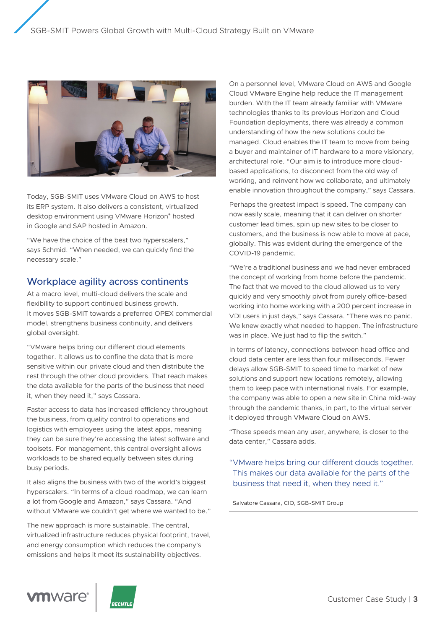

Today, SGB-SMIT uses VMware Cloud on AWS to host its ERP system. It also delivers a consistent, virtualized desktop environment using VMware Horizon® hosted in Google and SAP hosted in Amazon.

"We have the choice of the best two hyperscalers," says Schmid. "When needed, we can quickly find the necessary scale."

## Workplace agility across continents

At a macro level, multi-cloud delivers the scale and flexibility to support continued business growth. It moves SGB-SMIT towards a preferred OPEX commercial model, strengthens business continuity, and delivers global oversight.

"VMware helps bring our different cloud elements together. It allows us to confine the data that is more sensitive within our private cloud and then distribute the rest through the other cloud providers. That reach makes the data available for the parts of the business that need it, when they need it," says Cassara.

Faster access to data has increased efficiency throughout the business, from quality control to operations and logistics with employees using the latest apps, meaning they can be sure they're accessing the latest software and toolsets. For management, this central oversight allows workloads to be shared equally between sites during busy periods.

It also aligns the business with two of the world's biggest hyperscalers. "In terms of a cloud roadmap, we can learn a lot from Google and Amazon," says Cassara. "And without VMware we couldn't get where we wanted to be."

The new approach is more sustainable. The central, virtualized infrastructure reduces physical footprint, travel, and energy consumption which reduces the company's emissions and helps it meet its sustainability objectives.

On a personnel level, VMware Cloud on AWS and Google Cloud VMware Engine help reduce the IT management burden. With the IT team already familiar with VMware technologies thanks to its previous Horizon and Cloud Foundation deployments, there was already a common understanding of how the new solutions could be managed. Cloud enables the IT team to move from being a buyer and maintainer of IT hardware to a more visionary, architectural role. "Our aim is to introduce more cloudbased applications, to disconnect from the old way of working, and reinvent how we collaborate, and ultimately enable innovation throughout the company," says Cassara.

Perhaps the greatest impact is speed. The company can now easily scale, meaning that it can deliver on shorter customer lead times, spin up new sites to be closer to customers, and the business is now able to move at pace, globally. This was evident during the emergence of the COVID-19 pandemic.

"We're a traditional business and we had never embraced the concept of working from home before the pandemic. The fact that we moved to the cloud allowed us to very quickly and very smoothly pivot from purely office-based working into home working with a 200 percent increase in VDI users in just days," says Cassara. "There was no panic. We knew exactly what needed to happen. The infrastructure was in place. We just had to flip the switch."

In terms of latency, connections between head office and cloud data center are less than four milliseconds. Fewer delays allow SGB-SMIT to speed time to market of new solutions and support new locations remotely, allowing them to keep pace with international rivals. For example, the company was able to open a new site in China mid-way through the pandemic thanks, in part, to the virtual server it deployed through VMware Cloud on AWS.

"Those speeds mean any user, anywhere, is closer to the data center," Cassara adds.

"VMware helps bring our different clouds together. This makes our data available for the parts of the business that need it, when they need it."

Salvatore Cassara, CIO, SGB-SMIT Group